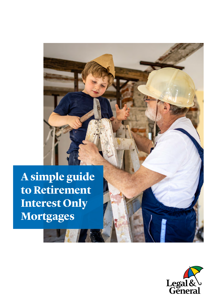**A simple guide to Retirement Interest Only Mortgages**

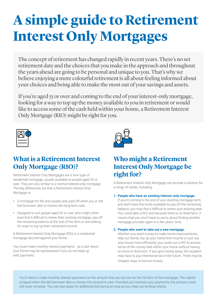# **A simple guide to Retirement Interest Only Mortgages**

The concept of retirement has changed rapidly in recent years. There's no set retirement date and the choices that you make in the approach and throughout the years ahead are going to be personal and unique to you. That's why we believe enjoying a more colourful retirement is all about feeling informed about your choices and being able to make the most out of your savings and assets.

If you're aged 55 or over and coming to the end of your interest-only mortgage, looking for a way to top up the money available to you in retirement or would like to access some of the cash held within your home, a Retirement Interest Only Mortgage (RIO) might be right for you.



## **What is a Retirement Interest Only Mortgage (RIO)?**

Retirement Interest Only Mortgages are a new type of residential mortgage, usually available to people aged 55 or over. They are very similar to a normal interest-only mortgage. The key differences are that a Retirement Interest Only Mortgage is:

- **•** A mortgage for life and usually only paid off when you or the last borrower dies or moves into long-term care.
- **•** Designed to suit people aged 55 or over, who might otherwise find it difficult to renew their existing mortgage, pay off the remaining balance at the end of the term or are looking for ways to top up their retirement income.

A Retirement Interest Only Mortgage (RIO) is a residential mortgage secured against your home.

You must make monthly interest payments - as a last resort, your home may be repossessed if you do not keep up with payments.



## **Who might a Retirement Interest Only Mortgage be right for?**

A Retirement Interest Only Mortgage can provide a solution for a range of needs, including:

#### **1. People who have an existing interest-only mortgage.**

If you're coming to the end of your existing mortgage term and don't have the funds available to pay off the remaining balance, you may find it difficult to renew your existing deal. You could take a RIO, and because there is no fixed term, it means that you won't have to worry about finding another mortgage provider again in a few years' time.

#### **2. People who want to take out a new mortgage.**

Whether you need money to make home improvements, help out family, top up your retirement income or just use your house more efficiently, you could use a RIO to access some of the money held within your home without having to move or downsize. If you give money away, the recipient may have to pay inheritance tax in the future. There may be cheaper ways to borrow money.

You'll need to make monthly interest payments on the amount that you borrow for the full term of the mortgage. The capital is repaid when the last borrower dies or moves into long-term care. Provided you maintain your payments, the amount owed will never increase. You can also apply for additional borrowing as long as you meet our lending criteria.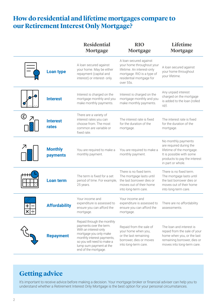## **How do residential and lifetime mortgages compare to our Retirement Interest Only Mortgage?**

|                         |                                   | <b>Residential</b><br><b>Mortgage</b>                                                                                                                                                                                   | <b>RIO</b><br><b>Mortgage</b>                                                                                                                            | Lifetime<br><b>Mortgage</b>                                                                                                                                  |
|-------------------------|-----------------------------------|-------------------------------------------------------------------------------------------------------------------------------------------------------------------------------------------------------------------------|----------------------------------------------------------------------------------------------------------------------------------------------------------|--------------------------------------------------------------------------------------------------------------------------------------------------------------|
|                         | <b>Loan type</b>                  | A loan secured against<br>your home. May be either<br>repayment (capital and<br>interest) or interest- only.                                                                                                            | A loan secured against<br>your home throughout your<br>lifetime. An interest-only<br>mortgage. RIO is a type of<br>residential mortgage for<br>over 55s. | A loan secured against<br>your home throughout<br>your lifetime.                                                                                             |
|                         | <b>Interest</b>                   | Interest is charged on the<br>mortgage monthly and you<br>make monthly payments.                                                                                                                                        | Interest is charged on the<br>mortgage monthly and you<br>make monthly payments.                                                                         | Any unpaid interest<br>charged on the mortgage<br>is added to the loan (rolled<br>$up)$ .                                                                    |
| $\circledast$           | <b>Interest</b><br>rates          | There are a variety of<br>interest rates you can<br>choose from. The most<br>common are variable or<br>fixed rate.                                                                                                      | The interest rate is fixed<br>for the duration of the<br>mortgage.                                                                                       | The interest rate is fixed<br>for the duration of the<br>mortgage.                                                                                           |
|                         | <b>Monthly</b><br><b>payments</b> | You are required to make a<br>monthly payment.                                                                                                                                                                          | You are required to make a<br>monthly payment.                                                                                                           | No monthly payments<br>are required during the<br>lifetime of the mortgage.<br>It is possible with some<br>products to pay the interest<br>in part or whole. |
|                         | <b>Loan term</b>                  | The term is fixed for a set<br>period of time. For example,<br>25 years.                                                                                                                                                | There is no fixed term.<br>The mortgage lasts until<br>the last borrower dies or<br>moves out of their home<br>into long-term care.                      | There is no fixed term.<br>The mortgage lasts until<br>the last borrower dies or<br>moves out of their home<br>into long-term care.                          |
| $\mathbf +$<br>$\times$ | <b>Attordability</b>              | Your income and<br>expenditure is assessed to<br>ensure you can afford the<br>mortgage.                                                                                                                                 | Your income and<br>expenditure is assessed to<br>ensure you can afford the<br>mortgage.                                                                  | There are no affordability<br>assessments.                                                                                                                   |
|                         | <b>Repayment</b>                  | Repaid through the monthly<br>payments over the term.<br>With an interest-only<br>mortgage you only make<br>monthly interest payments,<br>so you will need to make a<br>lump sum payment at the<br>end of the mortgage. | Repaid from the sale of<br>your home when you,<br>or the last remaining<br>borrower, dies or moves<br>into long-term care.                               | The loan and interest is<br>repaid from the sale of your<br>home when you, or the last<br>remaining borrower, dies or<br>moves into long-term care.          |

## **Getting advice**

It's important to receive advice before making a decision. Your mortgage broker or financial adviser can help you to understand whether a Retirement Interest Only Mortgage is the best option for your personal circumstances.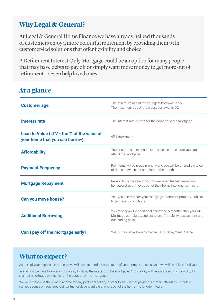## **Why Legal & General?**

At Legal & General Home Finance we have already helped thousands of customers enjoy a more colourful retirement by providing them with customer-led solutions that offer flexibility and choice.

A Retirement Interest Only Mortgage could be an option for many people that may have debts to pay off or simply want more money to get more out of retirement or even help loved ones.

## **At a glance**

| <b>Customer age</b>                                                          | The minimum age of the youngest borrower is 55.<br>The maximum age of the oldest borrower is 90.                                                       |
|------------------------------------------------------------------------------|--------------------------------------------------------------------------------------------------------------------------------------------------------|
| <b>Interest rate</b>                                                         | The interest rate is fixed for the duration of the mortgage                                                                                            |
| Loan to Value (LTV - the % of the value of<br>your home that you can borrow) | 60% maximum                                                                                                                                            |
| <b>Affordability</b>                                                         | Your income and expenditure is assessed to ensure you can<br>afford the mortgage                                                                       |
| <b>Payment Frequency</b>                                                     | Payments will be made monthly and you will be offered a choice<br>of dates between 1st and 28th of the month                                           |
| <b>Mortgage Repayment</b>                                                    | Repaid from the sale of your home when the last remaining<br>borrower dies or moves out of their home into long-term care                              |
| <b>Can you move house?</b>                                                   | Yes, you can transfer your mortgage to another property, subject<br>to terms and conditions                                                            |
| <b>Additional Borrowing</b>                                                  | You may apply for additional borrowing 6 months after your RIO<br>Mortgage completes, subject to an affordability assessment and<br>our lending policy |
| Can I pay off the mortgage early?                                            | Yes, but you may have to pay an Early Repayment Charge                                                                                                 |

## **What to expect?**

As part of your application process, we will need to conduct a valuation of your home to assess what we will be able to lend you.

In addition we have to assess your ability to repay the interest on the mortgage. Affordability will be assessed on your ability to maintain mortgage payments for the duration of the mortgage.

We will always use the lowest income for any joint application, in order to ensure that payments remain affordable, should a named spouse or registered civil partner or dependant die or move out of the home into long-term care.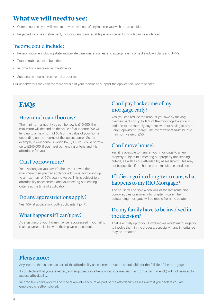## **What we will need to see:**

- **•** Current income you will need to provide evidence of any income you wish us to consider.
- **•** Projected income in retirement, including any transferrable pension benefits, which can be evidenced.

#### Income could include:

- **•** Pension income, including state and private pensions, annuities, and appropriate income drawdown plans and SIPPs.
- **•** Transferrable pension benefits.
- **•** Income from sustainable investments.
- **•** Sustainable income from rental properties.

Our underwriters may ask for more details of your income to support the application, where needed.

## **FAQs**

#### How much can I borrow?

The minimum amount you can borrow is £10,000, the maximum will depend on the value of your home. We will lend up to a maximum of 60% of the value of your home depending on the income of the lowest earner. So, for example, if your home is worth £400,000 you could borrow up to £240,000, if you meet our lending criteria and it is affordable for you.

#### Can I borrow more?

Yes. As long as you haven't already borrowed the maximum then you can apply for additional borrowing up to a maximum of 60% Loan to Value. This is subject to an affordability assessment and you meeting our lending criteria at the time of application.

#### Do any age restrictions apply?

Yes. 55+ at application (both applicants if joint).

#### What happens if I can't pay?

As a last resort, your home may be repossessed if you fail to make payments in line with the repayment schedule.

### Can I pay back some of my mortgage early?

Yes, you can reduce the amount you owe by making overpayments of up to 10% of the mortgage balance, in addition to the monthly payment, without having to pay an Early Repayment Charge. The overpayment must be of a minimum value of £50.

#### Can I move house?

Yes, it is possible to transfer your mortgage to a new property, subject to it meeting our property and lending criteria, as well as our affordability assessment. This may not be possible if the house is not in suitable condition.

## If I die or go into long-term care, what happens to my RIO Mortgage?

The house will be sold when you, or the last remaining borrower, dies or moves into long-term care. The outstanding mortgage will be repaid from the estate.

#### Do my family have to be involved in the decision?

That is entirely up to you. However, we would encourage you to involve them in the process, especially if any inheritance may be impacted.

#### **Please note:**

Any income that is used as part of the affordability assessment must be sustainable for the full life of the mortgage.

If you declare that you are retired, any employed or self-employed income (such as from a part-time job) will not be used to assess affordability.

Income from paid work will only be taken into account as part of the affordability assessment if you declare you are employed or self-employed.